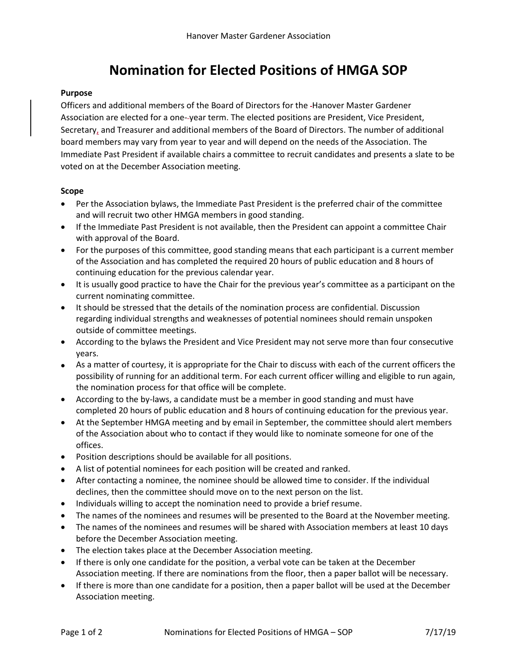# **Nomination for Elected Positions of HMGA SOP**

## **Purpose**

Officers and additional members of the Board of Directors for the Hanover Master Gardener Association are elected for a one- year term. The elected positions are President, Vice President, Secretary, and Treasurer and additional members of the Board of Directors. The number of additional board members may vary from year to year and will depend on the needs of the Association. The Immediate Past President if available chairs a committee to recruit candidates and presents a slate to be voted on at the December Association meeting.

### **Scope**

- Per the Association bylaws, the Immediate Past President is the preferred chair of the committee and will recruit two other HMGA members in good standing.
- If the Immediate Past President is not available, then the President can appoint a committee Chair with approval of the Board.
- For the purposes of this committee, good standing means that each participant is a current member of the Association and has completed the required 20 hours of public education and 8 hours of continuing education for the previous calendar year.
- It is usually good practice to have the Chair for the previous year's committee as a participant on the current nominating committee.
- It should be stressed that the details of the nomination process are confidential. Discussion regarding individual strengths and weaknesses of potential nominees should remain unspoken outside of committee meetings.
- According to the bylaws the President and Vice President may not serve more than four consecutive years.
- As a matter of courtesy, it is appropriate for the Chair to discuss with each of the current officers the possibility of running for an additional term. For each current officer willing and eligible to run again, the nomination process for that office will be complete.
- According to the by-laws, a candidate must be a member in good standing and must have completed 20 hours of public education and 8 hours of continuing education for the previous year.
- At the September HMGA meeting and by email in September, the committee should alert members of the Association about who to contact if they would like to nominate someone for one of the offices.
- Position descriptions should be available for all positions.
- A list of potential nominees for each position will be created and ranked.
- After contacting a nominee, the nominee should be allowed time to consider. If the individual declines, then the committee should move on to the next person on the list.
- Individuals willing to accept the nomination need to provide a brief resume.
- The names of the nominees and resumes will be presented to the Board at the November meeting.
- The names of the nominees and resumes will be shared with Association members at least 10 days before the December Association meeting.
- The election takes place at the December Association meeting.
- If there is only one candidate for the position, a verbal vote can be taken at the December Association meeting. If there are nominations from the floor, then a paper ballot will be necessary.
- If there is more than one candidate for a position, then a paper ballot will be used at the December Association meeting.